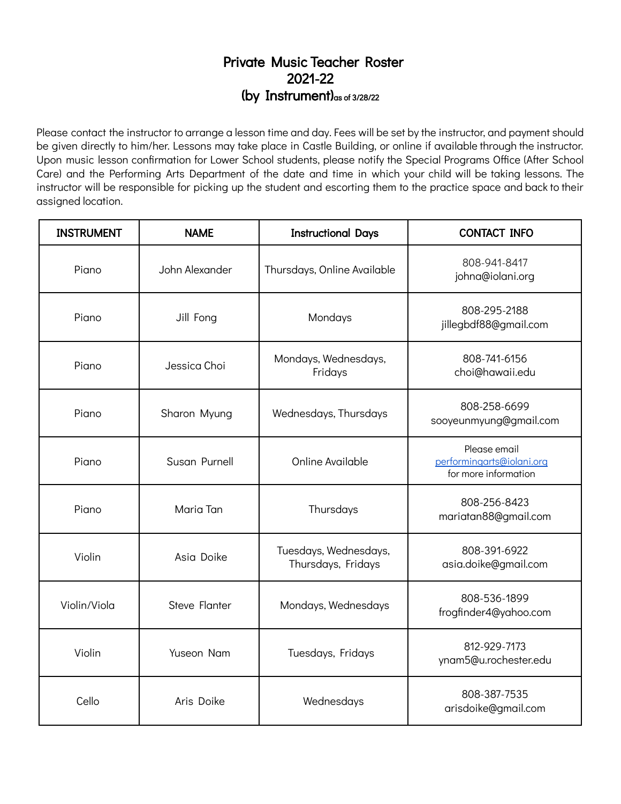## Private Music Teacher Roster 2021-22 (by Instrument)as of 3/28/22

Please contact the instructor to arrange a lesson time and day. Fees will be set by the instructor, and payment should be given directly to him/her. Lessons may take place in Castle Building, or online if available through the instructor. Upon music lesson confirmation for Lower School students, please notify the Special Programs Office (After School Care) and the Performing Arts Department of the date and time in which your child will be taking lessons. The instructor will be responsible for picking up the student and escorting them to the practice space and back to their assigned location.

| <b>INSTRUMENT</b> | <b>NAME</b>          | <b>Instructional Days</b>                   | <b>CONTACT INFO</b>                                               |
|-------------------|----------------------|---------------------------------------------|-------------------------------------------------------------------|
| Piano             | John Alexander       | Thursdays, Online Available                 | 808-941-8417<br>johna@iolani.org                                  |
| Piano             | Jill Fong            | Mondays                                     | 808-295-2188<br>jillegbdf88@gmail.com                             |
| Piano             | Jessica Choi         | Mondays, Wednesdays,<br>Fridays             | 808-741-6156<br>choi@hawaii.edu                                   |
| Piano             | Sharon Myung         | Wednesdays, Thursdays                       | 808-258-6699<br>sooyeunmyung@gmail.com                            |
| Piano             | Susan Purnell        | <b>Online Available</b>                     | Please email<br>performingarts@iolani.org<br>for more information |
| Piano             | Maria Tan            | Thursdays                                   | 808-256-8423<br>mariatan88@gmail.com                              |
| Violin            | Asia Doike           | Tuesdays, Wednesdays,<br>Thursdays, Fridays | 808-391-6922<br>asia.doike@gmail.com                              |
| Violin/Viola      | <b>Steve Flanter</b> | Mondays, Wednesdays                         | 808-536-1899<br>frogfinder4@yahoo.com                             |
| Violin            | Yuseon Nam           | Tuesdays, Fridays                           | 812-929-7173<br>ynam5@u.rochester.edu                             |
| Cello             | Aris Doike           | Wednesdays                                  | 808-387-7535<br>arisdoike@gmail.com                               |